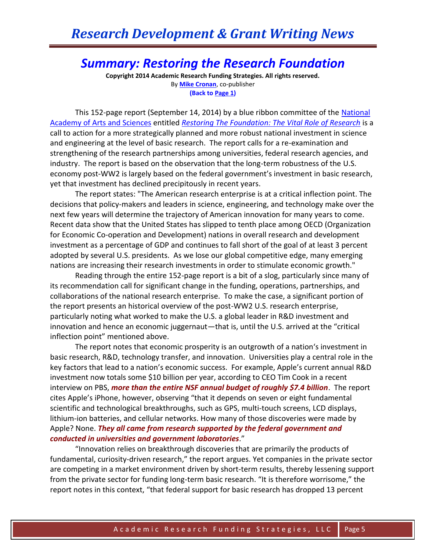## *Summary: Restoring the Research Foundation*

**Copyright 2014 Academic Research Funding Strategies. All rights reserved.** By **[Mike Cronan](mailto:mjcronan@gmail.com)**, co-publisher **(Back to Page 1)**

This 152-page report (September 14, 2014) by a blue ribbon committee of the [National](https://www.amacad.org/Default.aspx)  [Academy of Arts and Sciences](https://www.amacad.org/Default.aspx) entitled *[Restoring The Foundation:](http://www.aau.edu/WorkArea/DownloadAsset.aspx?id=15491) The Vital Role of Research* is a call to action for a more strategically planned and more robust national investment in science and engineering at the level of basic research. The report calls for a re-examination and strengthening of the research partnerships among universities, federal research agencies, and industry. The report is based on the observation that the long-term robustness of the U.S. economy post-WW2 is largely based on the federal government's investment in basic research, yet that investment has declined precipitously in recent years.

The report states: "The American research enterprise is at a critical inflection point. The decisions that policy-makers and leaders in science, engineering, and technology make over the next few years will determine the trajectory of American innovation for many years to come. Recent data show that the United States has slipped to tenth place among OECD (Organization for Economic Co-operation and Development) nations in overall research and development investment as a percentage of GDP and continues to fall short of the goal of at least 3 percent adopted by several U.S. presidents. As we lose our global competitive edge, many emerging nations are increasing their research investments in order to stimulate economic growth."

Reading through the entire 152-page report is a bit of a slog, particularly since many of its recommendation call for significant change in the funding, operations, partnerships, and collaborations of the national research enterprise. To make the case, a significant portion of the report presents an historical overview of the post-WW2 U.S. research enterprise, particularly noting what worked to make the U.S. a global leader in R&D investment and innovation and hence an economic juggernaut—that is, until the U.S. arrived at the "critical inflection point" mentioned above.

The report notes that economic prosperity is an outgrowth of a nation's investment in basic research, R&D, technology transfer, and innovation. Universities play a central role in the key factors that lead to a nation's economic success. For example, Apple's current annual R&D investment now totals some \$10 billion per year, according to CEO Tim Cook in a recent interview on PBS, *more than the entire NSF annual budget of roughly \$7.4 billion*. The report cites Apple's iPhone, however, observing "that it depends on seven or eight fundamental scientific and technological breakthroughs, such as GPS, multi-touch screens, LCD displays, lithium-ion batteries, and cellular networks. How many of those discoveries were made by Apple? None. *They all came from research supported by the federal government and conducted in universities and government laboratories*."

"Innovation relies on breakthrough discoveries that are primarily the products of fundamental, curiosity-driven research," the report argues. Yet companies in the private sector are competing in a market environment driven by short-term results, thereby lessening support from the private sector for funding long-term basic research. "It is therefore worrisome," the report notes in this context, "that federal support for basic research has dropped 13 percent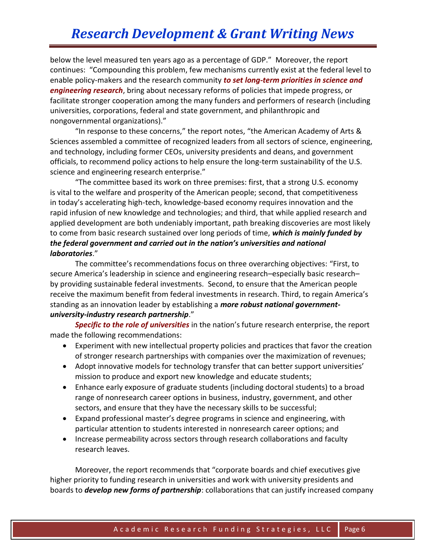below the level measured ten years ago as a percentage of GDP." Moreover, the report continues: "Compounding this problem, few mechanisms currently exist at the federal level to enable policy-makers and the research community *to set long-term priorities in science and engineering research*, bring about necessary reforms of policies that impede progress, or facilitate stronger cooperation among the many funders and performers of research (including universities, corporations, federal and state government, and philanthropic and nongovernmental organizations)."

"In response to these concerns," the report notes, "the American Academy of Arts & Sciences assembled a committee of recognized leaders from all sectors of science, engineering, and technology, including former CEOs, university presidents and deans, and government officials, to recommend policy actions to help ensure the long-term sustainability of the U.S. science and engineering research enterprise."

"The committee based its work on three premises: first, that a strong U.S. economy is vital to the welfare and prosperity of the American people; second, that competitiveness in today's accelerating high-tech, knowledge-based economy requires innovation and the rapid infusion of new knowledge and technologies; and third, that while applied research and applied development are both undeniably important, path breaking discoveries are most likely to come from basic research sustained over long periods of time, *which is mainly funded by the federal government and carried out in the nation's universities and national laboratories*."

The committee's recommendations focus on three overarching objectives: "First, to secure America's leadership in science and engineering research–especially basic research– by providing sustainable federal investments. Second, to ensure that the American people receive the maximum benefit from federal investments in research. Third, to regain America's standing as an innovation leader by establishing a *more robust national governmentuniversity-industry research partnership*."

*Specific to the role of universities* in the nation's future research enterprise, the report made the following recommendations:

- Experiment with new intellectual property policies and practices that favor the creation of stronger research partnerships with companies over the maximization of revenues;
- Adopt innovative models for technology transfer that can better support universities' mission to produce and export new knowledge and educate students;
- Enhance early exposure of graduate students (including doctoral students) to a broad range of nonresearch career options in business, industry, government, and other sectors, and ensure that they have the necessary skills to be successful;
- Expand professional master's degree programs in science and engineering, with particular attention to students interested in nonresearch career options; and
- Increase permeability across sectors through research collaborations and faculty research leaves.

Moreover, the report recommends that "corporate boards and chief executives give higher priority to funding research in universities and work with university presidents and boards to *develop new forms of partnership*: collaborations that can justify increased company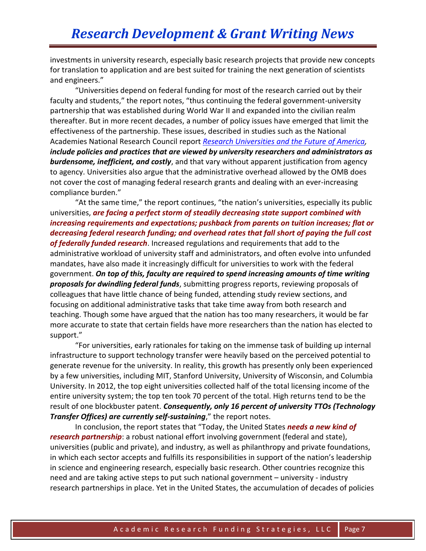investments in university research, especially basic research projects that provide new concepts for translation to application and are best suited for training the next generation of scientists and engineers."

"Universities depend on federal funding for most of the research carried out by their faculty and students," the report notes, "thus continuing the federal government-university partnership that was established during World War II and expanded into the civilian realm thereafter. But in more recent decades, a number of policy issues have emerged that limit the effectiveness of the partnership. These issues, described in studies such as the National Academies National Research Council report *[Research Universities and the Future of America,](http://sites.nationalacademies.org/cs/groups/pgasite/documents/webpage/pga_070193.pdf) include policies and practices that are viewed by university researchers and administrators as burdensome, inefficient, and costly*, and that vary without apparent justification from agency to agency. Universities also argue that the administrative overhead allowed by the OMB does not cover the cost of managing federal research grants and dealing with an ever-increasing compliance burden."

"At the same time," the report continues, "the nation's universities, especially its public universities, *are facing a perfect storm of steadily decreasing state support combined with increasing requirements and expectations; pushback from parents on tuition increases; flat or decreasing federal research funding; and overhead rates that fall short of paying the full cost of federally funded research*. Increased regulations and requirements that add to the administrative workload of university staff and administrators, and often evolve into unfunded mandates, have also made it increasingly difficult for universities to work with the federal government. *On top of this, faculty are required to spend increasing amounts of time writing proposals for dwindling federal funds*, submitting progress reports, reviewing proposals of colleagues that have little chance of being funded, attending study review sections, and focusing on additional administrative tasks that take time away from both research and teaching. Though some have argued that the nation has too many researchers, it would be far more accurate to state that certain fields have more researchers than the nation has elected to support."

"For universities, early rationales for taking on the immense task of building up internal infrastructure to support technology transfer were heavily based on the perceived potential to generate revenue for the university. In reality, this growth has presently only been experienced by a few universities, including MIT, Stanford University, University of Wisconsin, and Columbia University. In 2012, the top eight universities collected half of the total licensing income of the entire university system; the top ten took 70 percent of the total. High returns tend to be the result of one blockbuster patent. *Consequently, only 16 percent of university TTOs (Technology Transfer Offices) are currently self-sustaining*," the report notes.

In conclusion, the report states that "Today, the United States *needs a new kind of research partnership*: a robust national effort involving government (federal and state), universities (public and private), and industry, as well as philanthropy and private foundations, in which each sector accepts and fulfills its responsibilities in support of the nation's leadership in science and engineering research, especially basic research. Other countries recognize this need and are taking active steps to put such national government – university - industry research partnerships in place. Yet in the United States, the accumulation of decades of policies